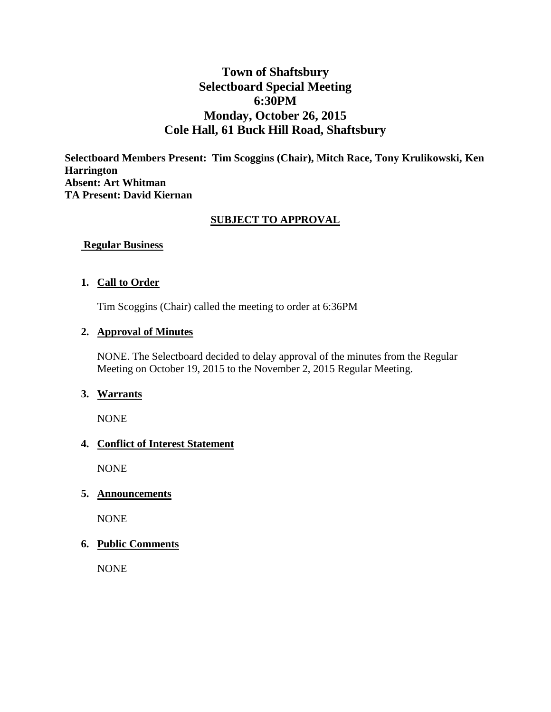# **Town of Shaftsbury Selectboard Special Meeting 6:30PM Monday, October 26, 2015 Cole Hall, 61 Buck Hill Road, Shaftsbury**

**Selectboard Members Present: Tim Scoggins (Chair), Mitch Race, Tony Krulikowski, Ken Harrington Absent: Art Whitman TA Present: David Kiernan**

#### **SUBJECT TO APPROVAL**

**Regular Business**

#### **1. Call to Order**

Tim Scoggins (Chair) called the meeting to order at 6:36PM

#### **2. Approval of Minutes**

NONE. The Selectboard decided to delay approval of the minutes from the Regular Meeting on October 19, 2015 to the November 2, 2015 Regular Meeting.

#### **3. Warrants**

NONE

#### **4. Conflict of Interest Statement**

NONE

#### **5. Announcements**

NONE

#### **6. Public Comments**

NONE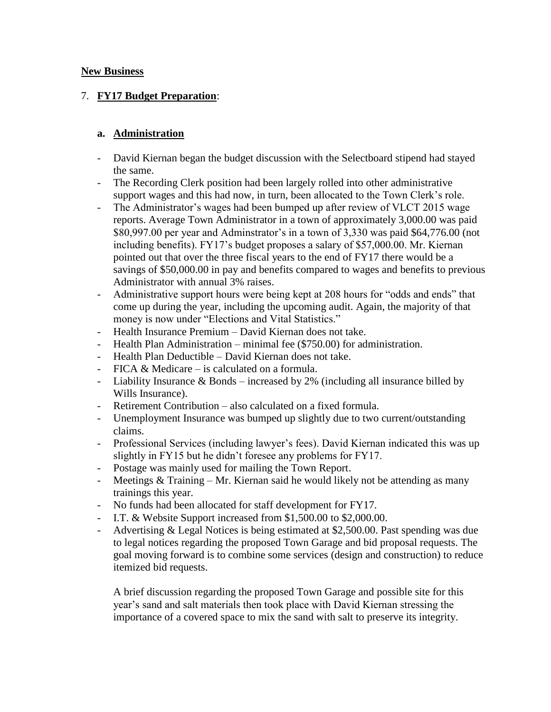#### **New Business**

## 7. **FY17 Budget Preparation**:

#### **a. Administration**

- David Kiernan began the budget discussion with the Selectboard stipend had stayed the same.
- The Recording Clerk position had been largely rolled into other administrative support wages and this had now, in turn, been allocated to the Town Clerk's role.
- The Administrator's wages had been bumped up after review of VLCT 2015 wage reports. Average Town Administrator in a town of approximately 3,000.00 was paid \$80,997.00 per year and Adminstrator's in a town of 3,330 was paid \$64,776.00 (not including benefits). FY17's budget proposes a salary of \$57,000.00. Mr. Kiernan pointed out that over the three fiscal years to the end of FY17 there would be a savings of \$50,000.00 in pay and benefits compared to wages and benefits to previous Administrator with annual 3% raises.
- Administrative support hours were being kept at 208 hours for "odds and ends" that come up during the year, including the upcoming audit. Again, the majority of that money is now under "Elections and Vital Statistics."
- Health Insurance Premium David Kiernan does not take.
- Health Plan Administration minimal fee (\$750.00) for administration.
- Health Plan Deductible David Kiernan does not take.
- FICA & Medicare is calculated on a formula.
- Liability Insurance & Bonds increased by 2% (including all insurance billed by Wills Insurance).
- Retirement Contribution also calculated on a fixed formula.
- Unemployment Insurance was bumped up slightly due to two current/outstanding claims.
- Professional Services (including lawyer's fees). David Kiernan indicated this was up slightly in FY15 but he didn't foresee any problems for FY17.
- Postage was mainly used for mailing the Town Report.
- Meetings & Training Mr. Kiernan said he would likely not be attending as many trainings this year.
- No funds had been allocated for staff development for FY17.
- I.T. & Website Support increased from \$1,500.00 to \$2,000.00.
- Advertising & Legal Notices is being estimated at \$2,500.00. Past spending was due to legal notices regarding the proposed Town Garage and bid proposal requests. The goal moving forward is to combine some services (design and construction) to reduce itemized bid requests.

A brief discussion regarding the proposed Town Garage and possible site for this year's sand and salt materials then took place with David Kiernan stressing the importance of a covered space to mix the sand with salt to preserve its integrity.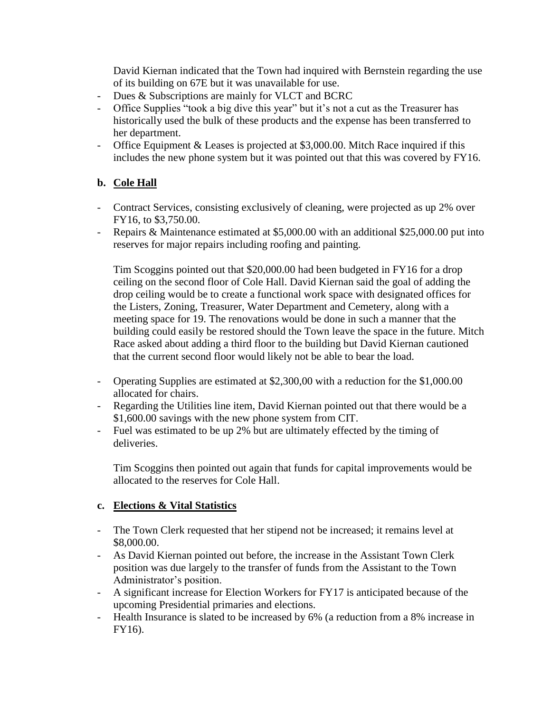David Kiernan indicated that the Town had inquired with Bernstein regarding the use of its building on 67E but it was unavailable for use.

- Dues & Subscriptions are mainly for VLCT and BCRC
- Office Supplies "took a big dive this year" but it's not a cut as the Treasurer has historically used the bulk of these products and the expense has been transferred to her department.
- Office Equipment & Leases is projected at \$3,000.00. Mitch Race inquired if this includes the new phone system but it was pointed out that this was covered by FY16.

### **b. Cole Hall**

- Contract Services, consisting exclusively of cleaning, were projected as up 2% over FY16, to \$3,750.00.
- Repairs & Maintenance estimated at \$5,000.00 with an additional \$25,000.00 put into reserves for major repairs including roofing and painting.

Tim Scoggins pointed out that \$20,000.00 had been budgeted in FY16 for a drop ceiling on the second floor of Cole Hall. David Kiernan said the goal of adding the drop ceiling would be to create a functional work space with designated offices for the Listers, Zoning, Treasurer, Water Department and Cemetery, along with a meeting space for 19. The renovations would be done in such a manner that the building could easily be restored should the Town leave the space in the future. Mitch Race asked about adding a third floor to the building but David Kiernan cautioned that the current second floor would likely not be able to bear the load.

- Operating Supplies are estimated at \$2,300,00 with a reduction for the \$1,000.00 allocated for chairs.
- Regarding the Utilities line item, David Kiernan pointed out that there would be a \$1,600.00 savings with the new phone system from CIT.
- Fuel was estimated to be up 2% but are ultimately effected by the timing of deliveries.

Tim Scoggins then pointed out again that funds for capital improvements would be allocated to the reserves for Cole Hall.

### **c. Elections & Vital Statistics**

- The Town Clerk requested that her stipend not be increased; it remains level at \$8,000.00.
- As David Kiernan pointed out before, the increase in the Assistant Town Clerk position was due largely to the transfer of funds from the Assistant to the Town Administrator's position.
- A significant increase for Election Workers for FY17 is anticipated because of the upcoming Presidential primaries and elections.
- Health Insurance is slated to be increased by 6% (a reduction from a 8% increase in FY16).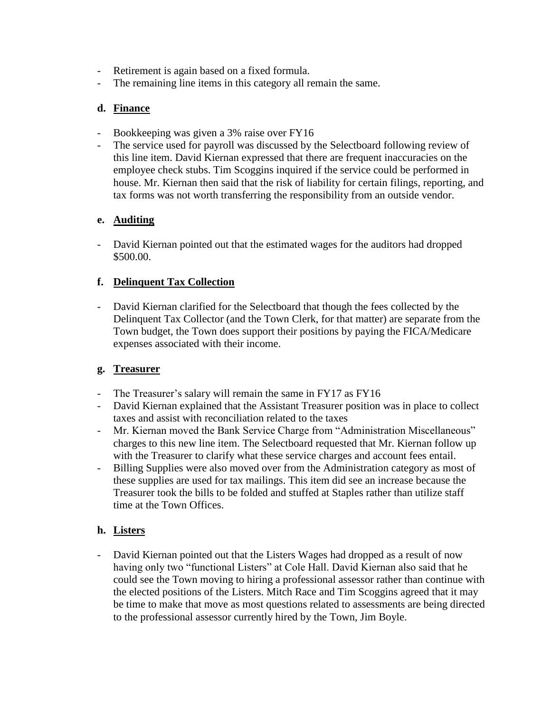- Retirement is again based on a fixed formula.
- The remaining line items in this category all remain the same.

# **d. Finance**

- Bookkeeping was given a 3% raise over FY16
- The service used for payroll was discussed by the Selectboard following review of this line item. David Kiernan expressed that there are frequent inaccuracies on the employee check stubs. Tim Scoggins inquired if the service could be performed in house. Mr. Kiernan then said that the risk of liability for certain filings, reporting, and tax forms was not worth transferring the responsibility from an outside vendor.

# **e. Auditing**

- David Kiernan pointed out that the estimated wages for the auditors had dropped \$500.00.

### **f. Delinquent Tax Collection**

- David Kiernan clarified for the Selectboard that though the fees collected by the Delinquent Tax Collector (and the Town Clerk, for that matter) are separate from the Town budget, the Town does support their positions by paying the FICA/Medicare expenses associated with their income.

### **g. Treasurer**

- The Treasurer's salary will remain the same in FY17 as FY16
- David Kiernan explained that the Assistant Treasurer position was in place to collect taxes and assist with reconciliation related to the taxes
- Mr. Kiernan moved the Bank Service Charge from "Administration Miscellaneous" charges to this new line item. The Selectboard requested that Mr. Kiernan follow up with the Treasurer to clarify what these service charges and account fees entail.
- Billing Supplies were also moved over from the Administration category as most of these supplies are used for tax mailings. This item did see an increase because the Treasurer took the bills to be folded and stuffed at Staples rather than utilize staff time at the Town Offices.

### **h. Listers**

- David Kiernan pointed out that the Listers Wages had dropped as a result of now having only two "functional Listers" at Cole Hall. David Kiernan also said that he could see the Town moving to hiring a professional assessor rather than continue with the elected positions of the Listers. Mitch Race and Tim Scoggins agreed that it may be time to make that move as most questions related to assessments are being directed to the professional assessor currently hired by the Town, Jim Boyle.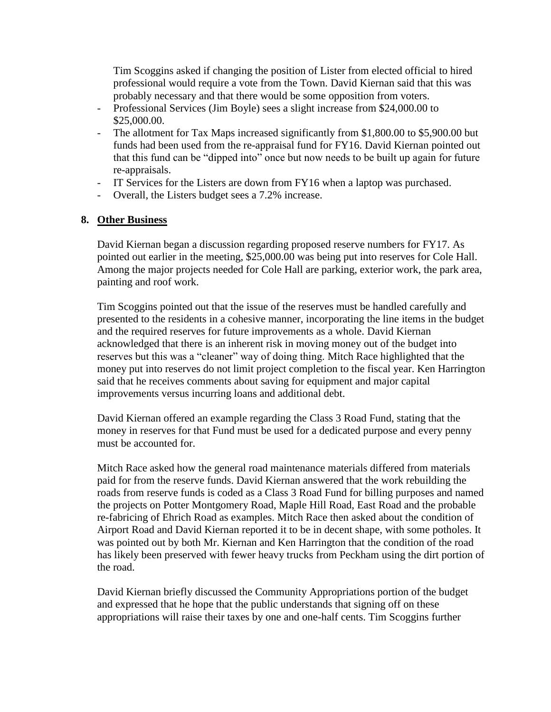Tim Scoggins asked if changing the position of Lister from elected official to hired professional would require a vote from the Town. David Kiernan said that this was probably necessary and that there would be some opposition from voters.

- Professional Services (Jim Boyle) sees a slight increase from \$24,000.00 to \$25,000.00.
- The allotment for Tax Maps increased significantly from \$1,800.00 to \$5,900.00 but funds had been used from the re-appraisal fund for FY16. David Kiernan pointed out that this fund can be "dipped into" once but now needs to be built up again for future re-appraisals.
- IT Services for the Listers are down from FY16 when a laptop was purchased.
- Overall, the Listers budget sees a 7.2% increase.

### **8. Other Business**

David Kiernan began a discussion regarding proposed reserve numbers for FY17. As pointed out earlier in the meeting, \$25,000.00 was being put into reserves for Cole Hall. Among the major projects needed for Cole Hall are parking, exterior work, the park area, painting and roof work.

Tim Scoggins pointed out that the issue of the reserves must be handled carefully and presented to the residents in a cohesive manner, incorporating the line items in the budget and the required reserves for future improvements as a whole. David Kiernan acknowledged that there is an inherent risk in moving money out of the budget into reserves but this was a "cleaner" way of doing thing. Mitch Race highlighted that the money put into reserves do not limit project completion to the fiscal year. Ken Harrington said that he receives comments about saving for equipment and major capital improvements versus incurring loans and additional debt.

David Kiernan offered an example regarding the Class 3 Road Fund, stating that the money in reserves for that Fund must be used for a dedicated purpose and every penny must be accounted for.

Mitch Race asked how the general road maintenance materials differed from materials paid for from the reserve funds. David Kiernan answered that the work rebuilding the roads from reserve funds is coded as a Class 3 Road Fund for billing purposes and named the projects on Potter Montgomery Road, Maple Hill Road, East Road and the probable re-fabricing of Ehrich Road as examples. Mitch Race then asked about the condition of Airport Road and David Kiernan reported it to be in decent shape, with some potholes. It was pointed out by both Mr. Kiernan and Ken Harrington that the condition of the road has likely been preserved with fewer heavy trucks from Peckham using the dirt portion of the road.

David Kiernan briefly discussed the Community Appropriations portion of the budget and expressed that he hope that the public understands that signing off on these appropriations will raise their taxes by one and one-half cents. Tim Scoggins further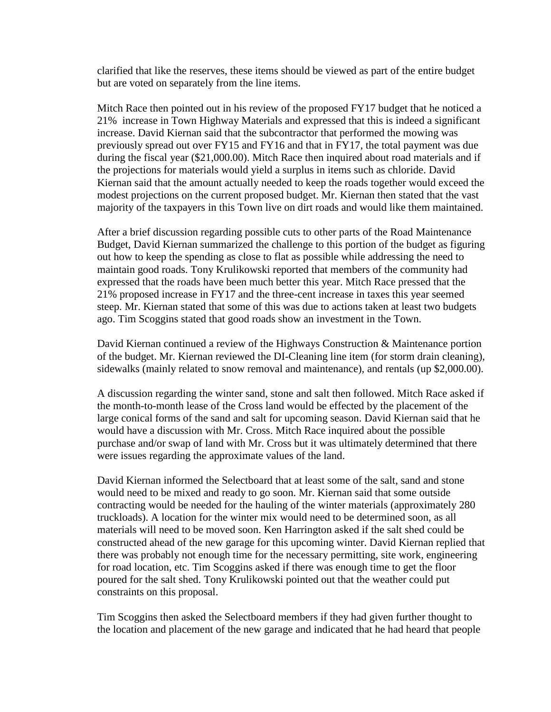clarified that like the reserves, these items should be viewed as part of the entire budget but are voted on separately from the line items.

Mitch Race then pointed out in his review of the proposed FY17 budget that he noticed a 21% increase in Town Highway Materials and expressed that this is indeed a significant increase. David Kiernan said that the subcontractor that performed the mowing was previously spread out over FY15 and FY16 and that in FY17, the total payment was due during the fiscal year (\$21,000.00). Mitch Race then inquired about road materials and if the projections for materials would yield a surplus in items such as chloride. David Kiernan said that the amount actually needed to keep the roads together would exceed the modest projections on the current proposed budget. Mr. Kiernan then stated that the vast majority of the taxpayers in this Town live on dirt roads and would like them maintained.

After a brief discussion regarding possible cuts to other parts of the Road Maintenance Budget, David Kiernan summarized the challenge to this portion of the budget as figuring out how to keep the spending as close to flat as possible while addressing the need to maintain good roads. Tony Krulikowski reported that members of the community had expressed that the roads have been much better this year. Mitch Race pressed that the 21% proposed increase in FY17 and the three-cent increase in taxes this year seemed steep. Mr. Kiernan stated that some of this was due to actions taken at least two budgets ago. Tim Scoggins stated that good roads show an investment in the Town.

David Kiernan continued a review of the Highways Construction & Maintenance portion of the budget. Mr. Kiernan reviewed the DI-Cleaning line item (for storm drain cleaning), sidewalks (mainly related to snow removal and maintenance), and rentals (up \$2,000.00).

A discussion regarding the winter sand, stone and salt then followed. Mitch Race asked if the month-to-month lease of the Cross land would be effected by the placement of the large conical forms of the sand and salt for upcoming season. David Kiernan said that he would have a discussion with Mr. Cross. Mitch Race inquired about the possible purchase and/or swap of land with Mr. Cross but it was ultimately determined that there were issues regarding the approximate values of the land.

David Kiernan informed the Selectboard that at least some of the salt, sand and stone would need to be mixed and ready to go soon. Mr. Kiernan said that some outside contracting would be needed for the hauling of the winter materials (approximately 280 truckloads). A location for the winter mix would need to be determined soon, as all materials will need to be moved soon. Ken Harrington asked if the salt shed could be constructed ahead of the new garage for this upcoming winter. David Kiernan replied that there was probably not enough time for the necessary permitting, site work, engineering for road location, etc. Tim Scoggins asked if there was enough time to get the floor poured for the salt shed. Tony Krulikowski pointed out that the weather could put constraints on this proposal.

Tim Scoggins then asked the Selectboard members if they had given further thought to the location and placement of the new garage and indicated that he had heard that people